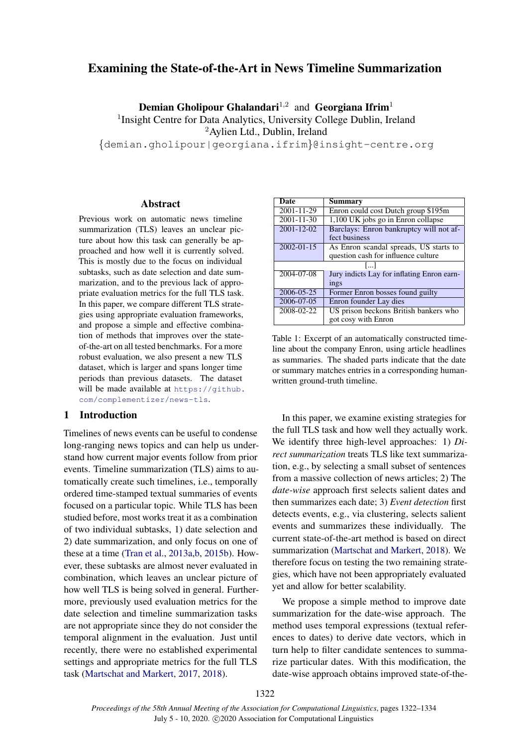# <span id="page-0-0"></span>Examining the State-of-the-Art in News Timeline Summarization

**Demian Gholipour Ghalandari**<sup>1,2</sup> and Georgiana Ifrim<sup>1</sup>

<sup>1</sup>Insight Centre for Data Analytics, University College Dublin, Ireland

<sup>2</sup>Aylien Ltd., Dublin, Ireland

{demian.gholipour|georgiana.ifrim}@insight-centre.org

#### Abstract

Previous work on automatic news timeline summarization (TLS) leaves an unclear picture about how this task can generally be approached and how well it is currently solved. This is mostly due to the focus on individual subtasks, such as date selection and date summarization, and to the previous lack of appropriate evaluation metrics for the full TLS task. In this paper, we compare different TLS strategies using appropriate evaluation frameworks, and propose a simple and effective combination of methods that improves over the stateof-the-art on all tested benchmarks. For a more robust evaluation, we also present a new TLS dataset, which is larger and spans longer time periods than previous datasets. The dataset will be made available at [https://github.](https://github.com/complementizer/news-tls) [com/complementizer/news-tls](https://github.com/complementizer/news-tls).

### 1 Introduction

Timelines of news events can be useful to condense long-ranging news topics and can help us understand how current major events follow from prior events. Timeline summarization (TLS) aims to automatically create such timelines, i.e., temporally ordered time-stamped textual summaries of events focused on a particular topic. While TLS has been studied before, most works treat it as a combination of two individual subtasks, 1) date selection and 2) date summarization, and only focus on one of these at a time [\(Tran et al.,](#page-9-0) [2013a,](#page-9-0)[b,](#page-9-1) [2015b\)](#page-9-2). However, these subtasks are almost never evaluated in combination, which leaves an unclear picture of how well TLS is being solved in general. Furthermore, previously used evaluation metrics for the date selection and timeline summarization tasks are not appropriate since they do not consider the temporal alignment in the evaluation. Just until recently, there were no established experimental settings and appropriate metrics for the full TLS task [\(Martschat and Markert,](#page-9-3) [2017,](#page-9-3) [2018\)](#page-9-4).

<span id="page-0-1"></span>

| Date             | Summary                                    |
|------------------|--------------------------------------------|
| 2001-11-29       | Enron could cost Dutch group \$195m        |
| 2001-11-30       | 1,100 UK jobs go in Enron collapse         |
| 2001-12-02       | Barclays: Enron bankruptcy will not af-    |
|                  | fect business                              |
| $2002 - 01 - 15$ | As Enron scandal spreads, US starts to     |
|                  | question cash for influence culture        |
|                  | ا…ا                                        |
| $2004 - 07 - 08$ | Jury indicts Lay for inflating Enron earn- |
|                  | ings                                       |
| 2006-05-25       | Former Enron bosses found guilty           |
| 2006-07-05       | Enron founder Lay dies                     |
| 2008-02-22       | US prison beckons British bankers who      |
|                  | got cosy with Enron                        |
|                  |                                            |

Table 1: Excerpt of an automatically constructed timeline about the company Enron, using article headlines as summaries. The shaded parts indicate that the date or summary matches entries in a corresponding humanwritten ground-truth timeline.

In this paper, we examine existing strategies for the full TLS task and how well they actually work. We identify three high-level approaches: 1) *Direct summarization* treats TLS like text summarization, e.g., by selecting a small subset of sentences from a massive collection of news articles; 2) The *date-wise* approach first selects salient dates and then summarizes each date; 3) *Event detection* first detects events, e.g., via clustering, selects salient events and summarizes these individually. The current state-of-the-art method is based on direct summarization [\(Martschat and Markert,](#page-9-4) [2018\)](#page-9-4). We therefore focus on testing the two remaining strategies, which have not been appropriately evaluated yet and allow for better scalability.

We propose a simple method to improve date summarization for the date-wise approach. The method uses temporal expressions (textual references to dates) to derive date vectors, which in turn help to filter candidate sentences to summarize particular dates. With this modification, the date-wise approach obtains improved state-of-the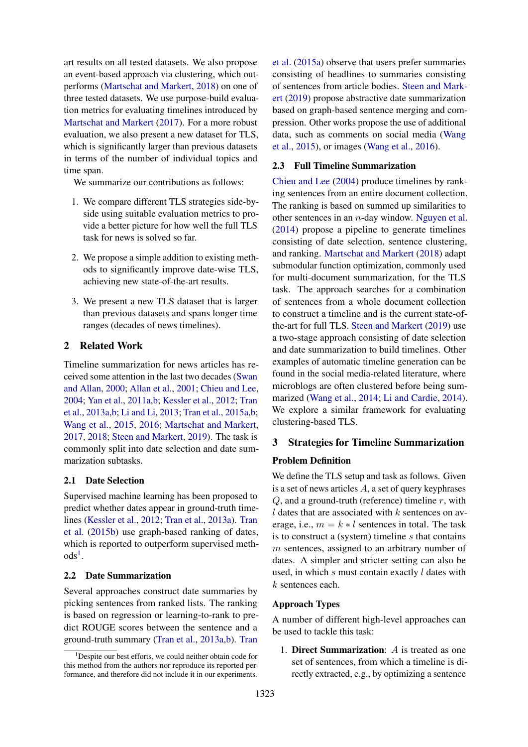art results on all tested datasets. We also propose an event-based approach via clustering, which outperforms [\(Martschat and Markert,](#page-9-4) [2018\)](#page-9-4) on one of three tested datasets. We use purpose-build evaluation metrics for evaluating timelines introduced by [Martschat and Markert](#page-9-3) [\(2017\)](#page-9-3). For a more robust evaluation, we also present a new dataset for TLS, which is significantly larger than previous datasets in terms of the number of individual topics and time span.

We summarize our contributions as follows:

- 1. We compare different TLS strategies side-byside using suitable evaluation metrics to provide a better picture for how well the full TLS task for news is solved so far.
- 2. We propose a simple addition to existing methods to significantly improve date-wise TLS, achieving new state-of-the-art results.
- 3. We present a new TLS dataset that is larger than previous datasets and spans longer time ranges (decades of news timelines).

# 2 Related Work

Timeline summarization for news articles has received some attention in the last two decades [\(Swan](#page-9-5) [and Allan,](#page-9-5) [2000;](#page-9-5) [Allan et al.,](#page-8-0) [2001;](#page-8-0) [Chieu and Lee,](#page-9-6) [2004;](#page-9-6) [Yan et al.,](#page-10-0) [2011a,](#page-10-0)[b;](#page-10-1) [Kessler et al.,](#page-9-7) [2012;](#page-9-7) [Tran](#page-9-0) [et al.,](#page-9-0) [2013a](#page-9-0)[,b;](#page-9-1) [Li and Li,](#page-9-8) [2013;](#page-9-8) [Tran et al.,](#page-9-9) [2015a](#page-9-9)[,b;](#page-9-2) [Wang et al.,](#page-10-2) [2015,](#page-10-2) [2016;](#page-10-3) [Martschat and Markert,](#page-9-3) [2017,](#page-9-3) [2018;](#page-9-4) [Steen and Markert,](#page-9-10) [2019\)](#page-9-10). The task is commonly split into date selection and date summarization subtasks.

#### 2.1 Date Selection

Supervised machine learning has been proposed to predict whether dates appear in ground-truth timelines [\(Kessler et al.,](#page-9-7) [2012;](#page-9-7) [Tran et al.,](#page-9-0) [2013a\)](#page-9-0). [Tran](#page-9-2) [et al.](#page-9-2) [\(2015b\)](#page-9-2) use graph-based ranking of dates, which is reported to outperform supervised meth- $\mathrm{ods}^1$  $\mathrm{ods}^1$ .

#### 2.2 Date Summarization

Several approaches construct date summaries by picking sentences from ranked lists. The ranking is based on regression or learning-to-rank to predict ROUGE scores between the sentence and a ground-truth summary [\(Tran et al.,](#page-9-0) [2013a](#page-9-0)[,b\)](#page-9-1). [Tran](#page-9-9) [et al.](#page-9-9) [\(2015a\)](#page-9-9) observe that users prefer summaries consisting of headlines to summaries consisting of sentences from article bodies. [Steen and Mark](#page-9-10)[ert](#page-9-10) [\(2019\)](#page-9-10) propose abstractive date summarization based on graph-based sentence merging and compression. Other works propose the use of additional data, such as comments on social media [\(Wang](#page-10-2) [et al.,](#page-10-2) [2015\)](#page-10-2), or images [\(Wang et al.,](#page-10-3) [2016\)](#page-10-3).

#### 2.3 Full Timeline Summarization

[Chieu and Lee](#page-9-6) [\(2004\)](#page-9-6) produce timelines by ranking sentences from an entire document collection. The ranking is based on summed up similarities to other sentences in an  $n$ -day window. [Nguyen et al.](#page-9-11) [\(2014\)](#page-9-11) propose a pipeline to generate timelines consisting of date selection, sentence clustering, and ranking. [Martschat and Markert](#page-9-4) [\(2018\)](#page-9-4) adapt submodular function optimization, commonly used for multi-document summarization, for the TLS task. The approach searches for a combination of sentences from a whole document collection to construct a timeline and is the current state-ofthe-art for full TLS. [Steen and Markert](#page-9-10) [\(2019\)](#page-9-10) use a two-stage approach consisting of date selection and date summarization to build timelines. Other examples of automatic timeline generation can be found in the social media-related literature, where microblogs are often clustered before being summarized [\(Wang et al.,](#page-10-4) [2014;](#page-10-4) [Li and Cardie,](#page-9-12) [2014\)](#page-9-12). We explore a similar framework for evaluating clustering-based TLS.

#### 3 Strategies for Timeline Summarization

### Problem Definition

We define the TLS setup and task as follows. Given is a set of news articles  $A$ , a set of query keyphrases  $Q$ , and a ground-truth (reference) timeline r, with  $l$  dates that are associated with  $k$  sentences on average, i.e.,  $m = k * l$  sentences in total. The task is to construct a (system) timeline  $s$  that contains m sentences, assigned to an arbitrary number of dates. A simpler and stricter setting can also be used, in which  $s$  must contain exactly  $l$  dates with k sentences each.

#### Approach Types

A number of different high-level approaches can be used to tackle this task:

1. Direct Summarization: A is treated as one set of sentences, from which a timeline is directly extracted, e.g., by optimizing a sentence

 $1$ [Despite our best efforts, we could neither obtain code for](#page-9-9) [this method from the authors nor reproduce its reported per](#page-9-9)[formance, and therefore did not include it in our experiments.](#page-9-9)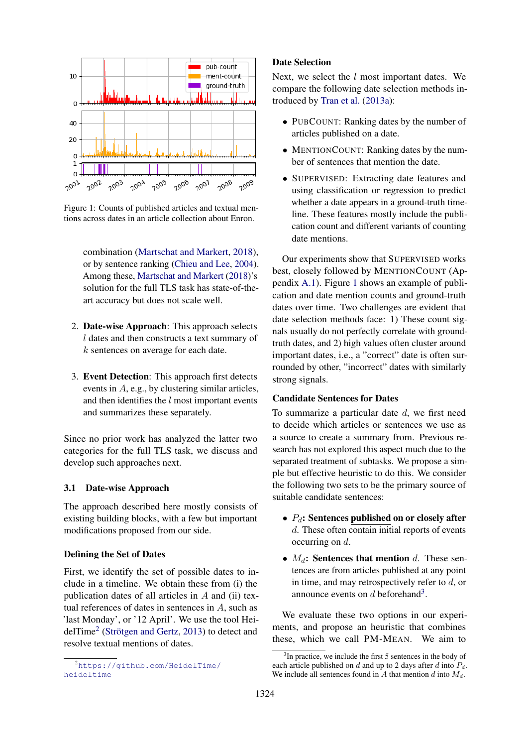<span id="page-2-0"></span>

Figure 1: Counts of published articles and textual mentions across dates in an article collection about Enron.

combination [\(Martschat and Markert,](#page-9-4) [2018\)](#page-9-4), or by sentence ranking [\(Chieu and Lee,](#page-9-6) [2004\)](#page-9-6). Among these, [Martschat and Markert](#page-9-4) [\(2018\)](#page-9-4)'s solution for the full TLS task has state-of-theart accuracy but does not scale well.

- 2. Date-wise Approach: This approach selects l dates and then constructs a text summary of k sentences on average for each date.
- 3. Event Detection: This approach first detects events in A, e.g., by clustering similar articles, and then identifies the  $l$  most important events and summarizes these separately.

Since no prior work has analyzed the latter two categories for the full TLS task, we discuss and develop such approaches next.

#### 3.1 Date-wise Approach

The approach described here mostly consists of existing building blocks, with a few but important modifications proposed from our side.

#### Defining the Set of Dates

First, we identify the set of possible dates to include in a timeline. We obtain these from (i) the publication dates of all articles in  $A$  and (ii) textual references of dates in sentences in A, such as 'last Monday', or '12 April'. We use the tool Hei-delTime<sup>[2](#page-0-0)</sup> (Strötgen and Gertz, [2013\)](#page-9-13) to detect and resolve textual mentions of dates.

### Date Selection

Next, we select the  $l$  most important dates. We compare the following date selection methods introduced by [Tran et al.](#page-9-0) [\(2013a\)](#page-9-0):

- PUBCOUNT: Ranking dates by the number of articles published on a date.
- MENTIONCOUNT: Ranking dates by the number of sentences that mention the date.
- SUPERVISED: Extracting date features and using classification or regression to predict whether a date appears in a ground-truth timeline. These features mostly include the publication count and different variants of counting date mentions.

Our experiments show that SUPERVISED works best, closely followed by MENTIONCOUNT (Appendix [A.1\)](#page-10-5). Figure [1](#page-2-0) shows an example of publication and date mention counts and ground-truth dates over time. Two challenges are evident that date selection methods face: 1) These count signals usually do not perfectly correlate with groundtruth dates, and 2) high values often cluster around important dates, i.e., a "correct" date is often surrounded by other, "incorrect" dates with similarly strong signals.

#### Candidate Sentences for Dates

To summarize a particular date  $d$ , we first need to decide which articles or sentences we use as a source to create a summary from. Previous research has not explored this aspect much due to the separated treatment of subtasks. We propose a simple but effective heuristic to do this. We consider the following two sets to be the primary source of suitable candidate sentences:

- $P_d$ : Sentences published on or closely after d. These often contain initial reports of events occurring on d.
- $M_d$ : Sentences that mention d. These sentences are from articles published at any point in time, and may retrospectively refer to  $d$ , or announce events on  $d$  beforehand<sup>[3](#page-0-0)</sup>.

We evaluate these two options in our experiments, and propose an heuristic that combines these, which we call PM-MEAN. We aim to

<sup>2</sup>[https://github.com/HeidelTime/](https://github.com/HeidelTime/heideltime) [heideltime](https://github.com/HeidelTime/heideltime)

<sup>&</sup>lt;sup>3</sup>In practice, we include the first 5 sentences in the body of each article published on d and up to 2 days after d into  $P_d$ . We include all sentences found in  $\overline{A}$  that mention  $d$  into  $M_d$ .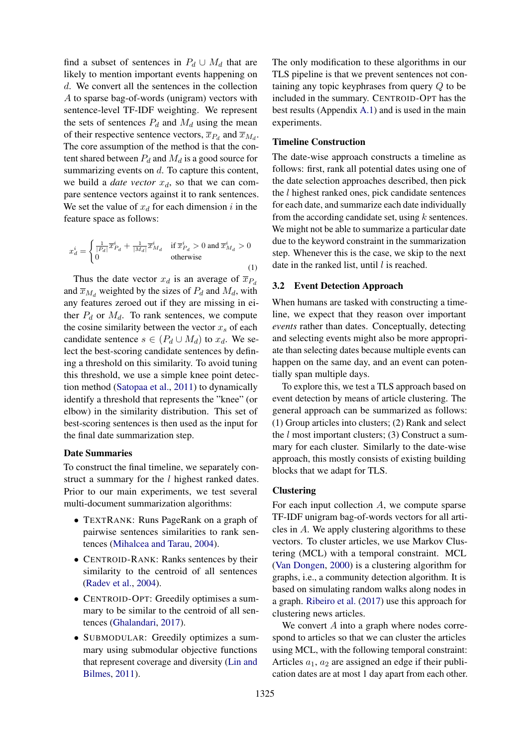find a subset of sentences in  $P_d \cup M_d$  that are likely to mention important events happening on d. We convert all the sentences in the collection A to sparse bag-of-words (unigram) vectors with sentence-level TF-IDF weighting. We represent the sets of sentences  $P_d$  and  $M_d$  using the mean of their respective sentence vectors,  $\overline{x}_{P_d}$  and  $\overline{x}_{M_d}$ . The core assumption of the method is that the content shared between  $P_d$  and  $M_d$  is a good source for summarizing events on  $d$ . To capture this content, we build a *date vector*  $x_d$ , so that we can compare sentence vectors against it to rank sentences. We set the value of  $x_d$  for each dimension i in the feature space as follows:

$$
x_d^i = \begin{cases} \frac{1}{|P_d|} \overline{x}_{P_d}^i + \frac{1}{|M_d|} \overline{x}_{M_d}^i & \text{if } \overline{x}_{P_d}^i > 0 \text{ and } \overline{x}_{M_d}^i > 0\\ 0 & \text{otherwise} \end{cases}
$$
(1)

Thus the date vector  $x_d$  is an average of  $\overline{x}_{P_d}$ and  $\overline{x}_{M_d}$  weighted by the sizes of  $P_d$  and  $M_d$ , with any features zeroed out if they are missing in either  $P_d$  or  $M_d$ . To rank sentences, we compute the cosine similarity between the vector  $x<sub>s</sub>$  of each candidate sentence  $s \in (P_d \cup M_d)$  to  $x_d$ . We select the best-scoring candidate sentences by defining a threshold on this similarity. To avoid tuning this threshold, we use a simple knee point detection method [\(Satopaa et al.,](#page-9-14) [2011\)](#page-9-14) to dynamically identify a threshold that represents the "knee" (or elbow) in the similarity distribution. This set of best-scoring sentences is then used as the input for the final date summarization step.

#### Date Summaries

To construct the final timeline, we separately construct a summary for the *l* highest ranked dates. Prior to our main experiments, we test several multi-document summarization algorithms:

- TEXTRANK: Runs PageRank on a graph of pairwise sentences similarities to rank sentences [\(Mihalcea and Tarau,](#page-9-15) [2004\)](#page-9-15).
- CENTROID-RANK: Ranks sentences by their similarity to the centroid of all sentences [\(Radev et al.,](#page-9-16) [2004\)](#page-9-16).
- CENTROID-OPT: Greedily optimises a summary to be similar to the centroid of all sentences [\(Ghalandari,](#page-9-17) [2017\)](#page-9-17).
- SUBMODULAR: Greedily optimizes a summary using submodular objective functions that represent coverage and diversity [\(Lin and](#page-9-18) [Bilmes,](#page-9-18) [2011\)](#page-9-18).

The only modification to these algorithms in our TLS pipeline is that we prevent sentences not containing any topic keyphrases from query Q to be included in the summary. CENTROID-OPT has the best results (Appendix [A.1\)](#page-10-5) and is used in the main experiments.

### Timeline Construction

The date-wise approach constructs a timeline as follows: first, rank all potential dates using one of the date selection approaches described, then pick the l highest ranked ones, pick candidate sentences for each date, and summarize each date individually from the according candidate set, using  $k$  sentences. We might not be able to summarize a particular date due to the keyword constraint in the summarization step. Whenever this is the case, we skip to the next date in the ranked list, until  $l$  is reached.

#### 3.2 Event Detection Approach

When humans are tasked with constructing a timeline, we expect that they reason over important *events* rather than dates. Conceptually, detecting and selecting events might also be more appropriate than selecting dates because multiple events can happen on the same day, and an event can potentially span multiple days.

To explore this, we test a TLS approach based on event detection by means of article clustering. The general approach can be summarized as follows: (1) Group articles into clusters; (2) Rank and select the  $l$  most important clusters; (3) Construct a summary for each cluster. Similarly to the date-wise approach, this mostly consists of existing building blocks that we adapt for TLS.

# **Clustering**

For each input collection  $A$ , we compute sparse TF-IDF unigram bag-of-words vectors for all articles in A. We apply clustering algorithms to these vectors. To cluster articles, we use Markov Clustering (MCL) with a temporal constraint. MCL [\(Van Dongen,](#page-9-19) [2000\)](#page-9-19) is a clustering algorithm for graphs, i.e., a community detection algorithm. It is based on simulating random walks along nodes in a graph. [Ribeiro et al.](#page-9-20) [\(2017\)](#page-9-20) use this approach for clustering news articles.

We convert  $A$  into a graph where nodes correspond to articles so that we can cluster the articles using MCL, with the following temporal constraint: Articles  $a_1$ ,  $a_2$  are assigned an edge if their publication dates are at most 1 day apart from each other.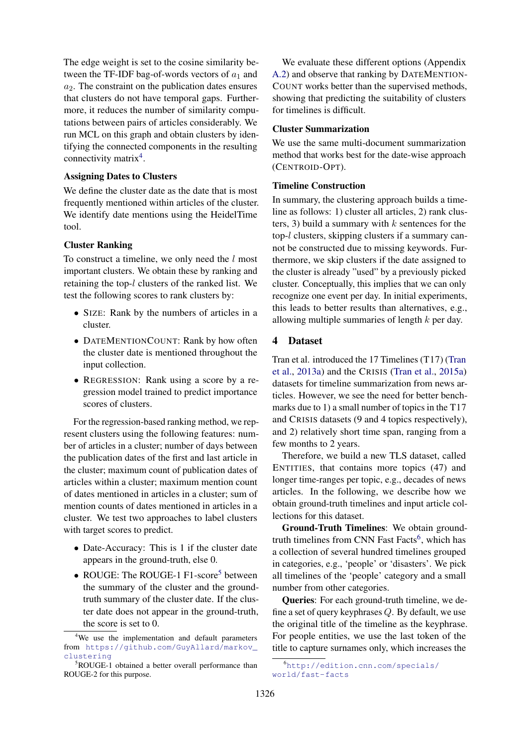The edge weight is set to the cosine similarity between the TF-IDF bag-of-words vectors of  $a_1$  and  $a_2$ . The constraint on the publication dates ensures that clusters do not have temporal gaps. Furthermore, it reduces the number of similarity computations between pairs of articles considerably. We run MCL on this graph and obtain clusters by identifying the connected components in the resulting connectivity matrix<sup>[4](#page-0-0)</sup>.

#### Assigning Dates to Clusters

We define the cluster date as the date that is most frequently mentioned within articles of the cluster. We identify date mentions using the HeidelTime tool.

#### Cluster Ranking

To construct a timeline, we only need the l most important clusters. We obtain these by ranking and retaining the top-l clusters of the ranked list. We test the following scores to rank clusters by:

- SIZE: Rank by the numbers of articles in a cluster.
- DATEMENTIONCOUNT: Rank by how often the cluster date is mentioned throughout the input collection.
- REGRESSION: Rank using a score by a regression model trained to predict importance scores of clusters.

For the regression-based ranking method, we represent clusters using the following features: number of articles in a cluster; number of days between the publication dates of the first and last article in the cluster; maximum count of publication dates of articles within a cluster; maximum mention count of dates mentioned in articles in a cluster; sum of mention counts of dates mentioned in articles in a cluster. We test two approaches to label clusters with target scores to predict.

- Date-Accuracy: This is 1 if the cluster date appears in the ground-truth, else 0.
- ROUGE: The ROUGE-1 F1-score<sup>[5](#page-0-0)</sup> between the summary of the cluster and the groundtruth summary of the cluster date. If the cluster date does not appear in the ground-truth, the score is set to 0.

We evaluate these different options (Appendix [A.2\)](#page-10-6) and observe that ranking by DATEMENTION-COUNT works better than the supervised methods, showing that predicting the suitability of clusters for timelines is difficult.

### Cluster Summarization

We use the same multi-document summarization method that works best for the date-wise approach (CENTROID-OPT).

#### Timeline Construction

In summary, the clustering approach builds a timeline as follows: 1) cluster all articles, 2) rank clusters, 3) build a summary with  $k$  sentences for the top-l clusters, skipping clusters if a summary cannot be constructed due to missing keywords. Furthermore, we skip clusters if the date assigned to the cluster is already "used" by a previously picked cluster. Conceptually, this implies that we can only recognize one event per day. In initial experiments, this leads to better results than alternatives, e.g., allowing multiple summaries of length  $k$  per day.

### 4 Dataset

Tran et al. introduced the 17 Timelines (T17) [\(Tran](#page-9-0) [et al.,](#page-9-0) [2013a\)](#page-9-0) and the CRISIS [\(Tran et al.,](#page-9-9) [2015a\)](#page-9-9) datasets for timeline summarization from news articles. However, we see the need for better benchmarks due to 1) a small number of topics in the T17 and CRISIS datasets (9 and 4 topics respectively), and 2) relatively short time span, ranging from a few months to 2 years.

Therefore, we build a new TLS dataset, called ENTITIES, that contains more topics (47) and longer time-ranges per topic, e.g., decades of news articles. In the following, we describe how we obtain ground-truth timelines and input article collections for this dataset.

Ground-Truth Timelines: We obtain ground-truth timelines from CNN Fast Facts<sup>[6](#page-0-0)</sup>, which has a collection of several hundred timelines grouped in categories, e.g., 'people' or 'disasters'. We pick all timelines of the 'people' category and a small number from other categories.

Queries: For each ground-truth timeline, we define a set of query keyphrases Q. By default, we use the original title of the timeline as the keyphrase. For people entities, we use the last token of the title to capture surnames only, which increases the

<sup>&</sup>lt;sup>4</sup>We use the implementation and default parameters from [https://github.com/GuyAllard/markov\\_](https://github.com/GuyAllard/markov_clustering) [clustering](https://github.com/GuyAllard/markov_clustering)

<sup>5</sup>ROUGE-1 obtained a better overall performance than ROUGE-2 for this purpose.

<sup>6</sup>[http://edition.cnn.com/specials/](http://edition.cnn.com/specials/world/fast-facts) [world/fast-facts](http://edition.cnn.com/specials/world/fast-facts)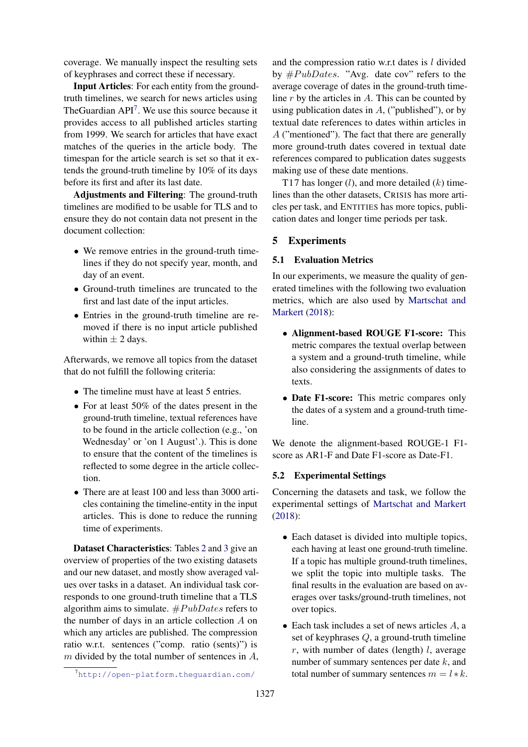coverage. We manually inspect the resulting sets of keyphrases and correct these if necessary.

Input Articles: For each entity from the groundtruth timelines, we search for news articles using The Guardian  $API<sup>7</sup>$  $API<sup>7</sup>$  $API<sup>7</sup>$ . We use this source because it provides access to all published articles starting from 1999. We search for articles that have exact matches of the queries in the article body. The timespan for the article search is set so that it extends the ground-truth timeline by 10% of its days before its first and after its last date.

Adjustments and Filtering: The ground-truth timelines are modified to be usable for TLS and to ensure they do not contain data not present in the document collection:

- We remove entries in the ground-truth timelines if they do not specify year, month, and day of an event.
- Ground-truth timelines are truncated to the first and last date of the input articles.
- Entries in the ground-truth timeline are removed if there is no input article published within  $\pm$  2 days.

Afterwards, we remove all topics from the dataset that do not fulfill the following criteria:

- The timeline must have at least 5 entries.
- For at least 50% of the dates present in the ground-truth timeline, textual references have to be found in the article collection (e.g., 'on Wednesday' or 'on 1 August'.). This is done to ensure that the content of the timelines is reflected to some degree in the article collection.
- There are at least 100 and less than 3000 articles containing the timeline-entity in the input articles. This is done to reduce the running time of experiments.

Dataset Characteristics: Tables [2](#page-6-0) and [3](#page-6-1) give an overview of properties of the two existing datasets and our new dataset, and mostly show averaged values over tasks in a dataset. An individual task corresponds to one ground-truth timeline that a TLS algorithm aims to simulate.  $#PubDates$  refers to the number of days in an article collection  $A$  on which any articles are published. The compression ratio w.r.t. sentences ("comp. ratio (sents)") is  $m$  divided by the total number of sentences in  $A$ ,

and the compression ratio w.r.t dates is l divided by  $\#PubDates$ . "Avg. date cov" refers to the average coverage of dates in the ground-truth timeline  $r$  by the articles in  $A$ . This can be counted by using publication dates in  $A$ , ("published"), or by textual date references to dates within articles in A ("mentioned"). The fact that there are generally more ground-truth dates covered in textual date references compared to publication dates suggests making use of these date mentions.

T17 has longer  $(l)$ , and more detailed  $(k)$  timelines than the other datasets, CRISIS has more articles per task, and ENTITIES has more topics, publication dates and longer time periods per task.

### 5 Experiments

#### 5.1 Evaluation Metrics

In our experiments, we measure the quality of generated timelines with the following two evaluation metrics, which are also used by [Martschat and](#page-9-4) [Markert](#page-9-4) [\(2018\)](#page-9-4):

- Alignment-based ROUGE F1-score: This metric compares the textual overlap between a system and a ground-truth timeline, while also considering the assignments of dates to texts.
- Date F1-score: This metric compares only the dates of a system and a ground-truth timeline.

We denote the alignment-based ROUGE-1 F1 score as AR1-F and Date F1-score as Date-F1.

### 5.2 Experimental Settings

Concerning the datasets and task, we follow the experimental settings of [Martschat and Markert](#page-9-4) [\(2018\)](#page-9-4):

- Each dataset is divided into multiple topics, each having at least one ground-truth timeline. If a topic has multiple ground-truth timelines, we split the topic into multiple tasks. The final results in the evaluation are based on averages over tasks/ground-truth timelines, not over topics.
- $\bullet$  Each task includes a set of news articles  $A$ , a set of keyphrases Q, a ground-truth timeline  $r$ , with number of dates (length)  $l$ , average number of summary sentences per date  $k$ , and total number of summary sentences  $m = l * k$ .

<sup>7</sup><http://open-platform.theguardian.com/>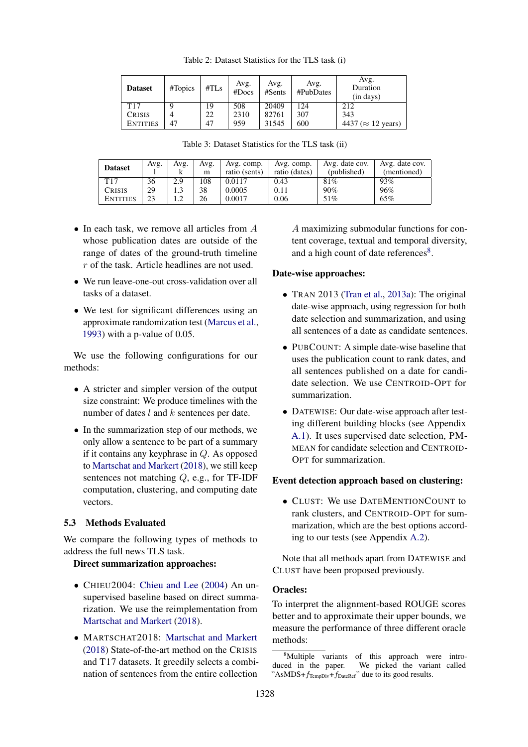<span id="page-6-0"></span>

| <b>Dataset</b>  | #Topics | #TLs | Avg.<br>#Does | Avg.<br>#Sents | Avg.<br>#PubDates | Avg.<br>Duration<br>(in days) |
|-----------------|---------|------|---------------|----------------|-------------------|-------------------------------|
| T17             |         | 19   | 508           | 20409          | 124               | 212                           |
| <b>CRISIS</b>   |         | 22   | 2310          | 82761          | 307               | 343                           |
| <b>ENTITIES</b> | 47      | 47   | 959           | 31545          | 600               | 4437 ( $\approx$ 12 years)    |

Table 2: Dataset Statistics for the TLS task (i)

Table 3: Dataset Statistics for the TLS task (ii)

<span id="page-6-1"></span>

| <b>Dataset</b>  | Avg. | Avg. | Avg. | Avg. comp.    | Avg. comp.    | Avg. date cov. | Avg. date cov. |
|-----------------|------|------|------|---------------|---------------|----------------|----------------|
|                 |      |      | m    | ratio (sents) | ratio (dates) | (published)    | (mentioned)    |
| T17             | 36   | 2.9  | 108  | 0.0117        | 0.43          | 81%            | 93%            |
| <b>CRISIS</b>   | 29   | 1.3  | 38   | 0.0005        | 0.11          | 90%            | 96%            |
| <b>ENTITIES</b> | 23   | l .2 | 26   | 0.0017        | 0.06          | 51%            | 65%            |

- In each task, we remove all articles from A whose publication dates are outside of the range of dates of the ground-truth timeline r of the task. Article headlines are not used.
- We run leave-one-out cross-validation over all tasks of a dataset.
- We test for significant differences using an approximate randomization test [\(Marcus et al.,](#page-9-21) [1993\)](#page-9-21) with a p-value of 0.05.

We use the following configurations for our methods:

- A stricter and simpler version of the output size constraint: We produce timelines with the number of dates  $l$  and  $k$  sentences per date.
- In the summarization step of our methods, we only allow a sentence to be part of a summary if it contains any keyphrase in Q. As opposed to [Martschat and Markert](#page-9-4) [\(2018\)](#page-9-4), we still keep sentences not matching Q, e.g., for TF-IDF computation, clustering, and computing date vectors.

### 5.3 Methods Evaluated

We compare the following types of methods to address the full news TLS task.

### Direct summarization approaches:

- CHIEU2004: [Chieu and Lee](#page-9-6) [\(2004\)](#page-9-6) An unsupervised baseline based on direct summarization. We use the reimplementation from [Martschat and Markert](#page-9-4) [\(2018\)](#page-9-4).
- MARTSCHAT2018: [Martschat and Markert](#page-9-4) [\(2018\)](#page-9-4) State-of-the-art method on the CRISIS and T17 datasets. It greedily selects a combination of sentences from the entire collection

A maximizing submodular functions for content coverage, textual and temporal diversity, and a high count of date references<sup>[8](#page-0-0)</sup>.

#### Date-wise approaches:

- TRAN 2013 [\(Tran et al.,](#page-9-0) [2013a\)](#page-9-0): The original date-wise approach, using regression for both date selection and summarization, and using all sentences of a date as candidate sentences.
- PUBCOUNT: A simple date-wise baseline that uses the publication count to rank dates, and all sentences published on a date for candidate selection. We use CENTROID-OPT for summarization.
- DATEWISE: Our date-wise approach after testing different building blocks (see Appendix [A.1\)](#page-10-5). It uses supervised date selection, PM-MEAN for candidate selection and CENTROID-OPT for summarization.

#### Event detection approach based on clustering:

• CLUST: We use DATEMENTIONCOUNT to rank clusters, and CENTROID-OPT for summarization, which are the best options according to our tests (see Appendix [A.2\)](#page-10-6).

Note that all methods apart from DATEWISE and CLUST have been proposed previously.

#### Oracles:

To interpret the alignment-based ROUGE scores better and to approximate their upper bounds, we measure the performance of three different oracle methods:

<sup>&</sup>lt;sup>8</sup>Multiple variants of this approach were intro-<br>duced in the paper. We picked the variant called We picked the variant called "AsMDS+ $f_{TempDiv} + f_{DateRef}$ " due to its good results.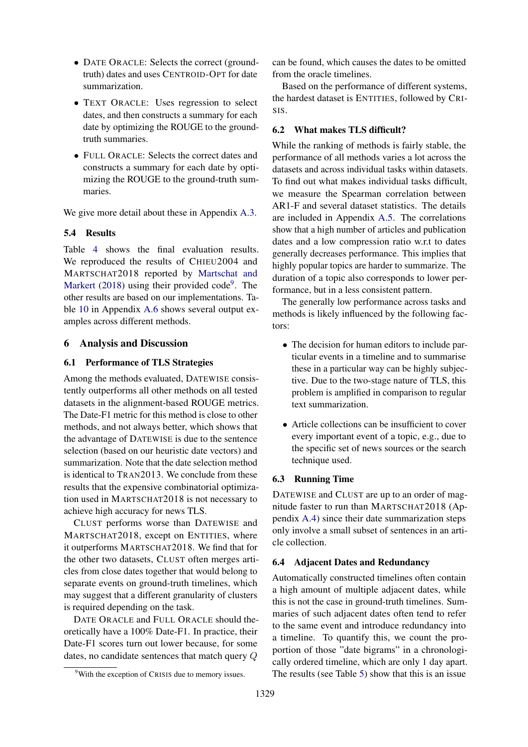- DATE ORACLE: Selects the correct (groundtruth) dates and uses CENTROID-OPT for date summarization.
- TEXT ORACLE: Uses regression to select dates, and then constructs a summary for each date by optimizing the ROUGE to the groundtruth summaries.
- FULL ORACLE: Selects the correct dates and constructs a summary for each date by optimizing the ROUGE to the ground-truth summaries.

We give more detail about these in Appendix [A.3.](#page-10-7)

### 5.4 Results

Table [4](#page-8-1) shows the final evaluation results. We reproduced the results of CHIEU2004 and MARTSCHAT2018 reported by [Martschat and](#page-9-4) [Markert](#page-9-4) [\(2018\)](#page-9-4) using their provided code<sup>[9](#page-0-0)</sup>. The other results are based on our implementations. Table [10](#page-12-0) in Appendix [A.6](#page-11-0) shows several output examples across different methods.

### 6 Analysis and Discussion

### 6.1 Performance of TLS Strategies

Among the methods evaluated, DATEWISE consistently outperforms all other methods on all tested datasets in the alignment-based ROUGE metrics. The Date-F1 metric for this method is close to other methods, and not always better, which shows that the advantage of DATEWISE is due to the sentence selection (based on our heuristic date vectors) and summarization. Note that the date selection method is identical to TRAN2013. We conclude from these results that the expensive combinatorial optimization used in MARTSCHAT2018 is not necessary to achieve high accuracy for news TLS.

CLUST performs worse than DATEWISE and MARTSCHAT2018, except on ENTITIES, where it outperforms MARTSCHAT2018. We find that for the other two datasets, CLUST often merges articles from close dates together that would belong to separate events on ground-truth timelines, which may suggest that a different granularity of clusters is required depending on the task.

DATE ORACLE and FULL ORACLE should theoretically have a 100% Date-F1. In practice, their Date-F1 scores turn out lower because, for some dates, no candidate sentences that match query Q

can be found, which causes the dates to be omitted from the oracle timelines.

Based on the performance of different systems, the hardest dataset is ENTITIES, followed by CRI-SIS.

### 6.2 What makes TLS difficult?

While the ranking of methods is fairly stable, the performance of all methods varies a lot across the datasets and across individual tasks within datasets. To find out what makes individual tasks difficult, we measure the Spearman correlation between AR1-F and several dataset statistics. The details are included in Appendix [A.5.](#page-11-1) The correlations show that a high number of articles and publication dates and a low compression ratio w.r.t to dates generally decreases performance. This implies that highly popular topics are harder to summarize. The duration of a topic also corresponds to lower performance, but in a less consistent pattern.

The generally low performance across tasks and methods is likely influenced by the following factors:

- The decision for human editors to include particular events in a timeline and to summarise these in a particular way can be highly subjective. Due to the two-stage nature of TLS, this problem is amplified in comparison to regular text summarization.
- Article collections can be insufficient to cover every important event of a topic, e.g., due to the specific set of news sources or the search technique used.

#### 6.3 Running Time

DATEWISE and CLUST are up to an order of magnitude faster to run than MARTSCHAT2018 (Appendix [A.4\)](#page-11-2) since their date summarization steps only involve a small subset of sentences in an article collection.

#### 6.4 Adjacent Dates and Redundancy

Automatically constructed timelines often contain a high amount of multiple adjacent dates, while this is not the case in ground-truth timelines. Summaries of such adjacent dates often tend to refer to the same event and introduce redundancy into a timeline. To quantify this, we count the proportion of those "date bigrams" in a chronologically ordered timeline, which are only 1 day apart. The results (see Table [5\)](#page-8-2) show that this is an issue

<sup>&</sup>lt;sup>9</sup>With the exception of CRISIS due to memory issues.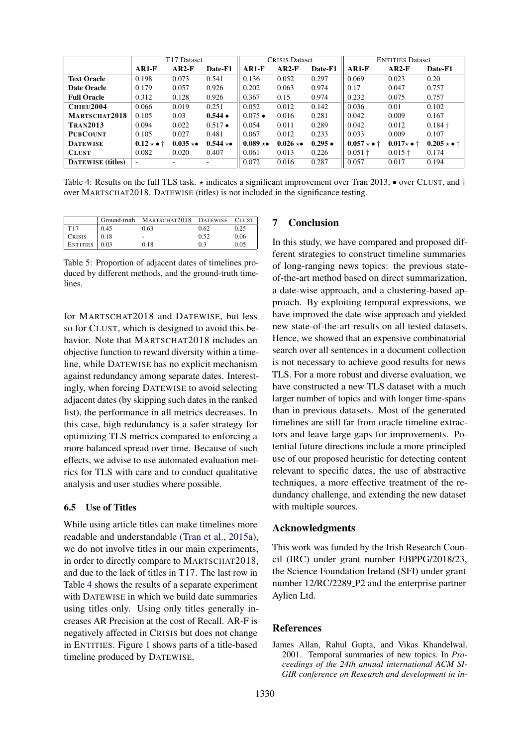<span id="page-8-1"></span>

|                          | T <sub>17</sub> Dataset  |                       |                       | <b>CRISIS Dataset</b> |                       |                 | <b>ENTITIES Dataset</b> |                         |                         |
|--------------------------|--------------------------|-----------------------|-----------------------|-----------------------|-----------------------|-----------------|-------------------------|-------------------------|-------------------------|
|                          | $AR1-F$                  | $AR2-F$               | Date-F1               | $AR1-F$               | $AR2-F$               | Date-F1         | $AR1-F$                 | $AR2-F$                 | Date-F1                 |
| <b>Text Oracle</b>       | 0.198                    | 0.073                 | 0.541                 | 0.136                 | 0.052                 | 0.297           | 0.069                   | 0.023                   | 0.20                    |
| <b>Date Oracle</b>       | 0.179                    | 0.057                 | 0.926                 | 0.202                 | 0.063                 | 0.974           | 0.17                    | 0.047                   | 0.757                   |
| <b>Full Oracle</b>       | 0.312                    | 0.128                 | 0.926                 | 0.367                 | 0.15                  | 0.974           | 0.232                   | 0.075                   | 0.757                   |
| CHIEU2004                | 0.066                    | 0.019                 | 0.251                 | 0.052                 | 0.012                 | 0.142           | 0.036                   | 0.01                    | 0.102                   |
| MARTSCHAT2018            | 0.105                    | 0.03                  | $0.544 \bullet$       | $0.075 \bullet$       | 0.016                 | 0.281           | 0.042                   | 0.009                   | 0.167                   |
| <b>TRAN2013</b>          | 0.094                    | 0.022                 | $0.517 \bullet$       | 0.054                 | 0.011                 | 0.289           | 0.042                   | 0.012                   | $0.184 +$               |
| <b>PUBCOUNT</b>          | 0.105                    | 0.027                 | 0.481                 | 0.067                 | 0.012                 | 0.233           | 0.033                   | 0.009                   | 0.107                   |
| <b>DATEWISE</b>          | $0.12 \star \bullet$ †   | $0.035 \star \bullet$ | $0.544 \star \bullet$ | $0.089 \star\bullet$  | $0.026 \star \bullet$ | $0.295 \bullet$ | $0.057 * •$             | $0.017 \star \bullet$ † | $0.205 \star \bullet$ † |
| <b>CLUST</b>             | 0.082                    | 0.020                 | 0.407                 | 0.061                 | 0.013                 | 0.226           | $0.051 +$               | $0.015 \pm$             | 0.174                   |
| <b>DATEWISE</b> (titles) | $\overline{\phantom{0}}$ | ۰                     |                       | 0.072                 | 0.016                 | 0.287           | 0.057                   | 0.017                   | 0.194                   |

Table 4: Results on the full TLS task.  $\star$  indicates a significant improvement over Tran 2013,  $\bullet$  over CLUST, and  $\dagger$ over MARTSCHAT2018. DATEWISE (titles) is not included in the significance testing.

<span id="page-8-2"></span>

|                 |      | Ground-truth MARTSCHAT2018 DATEWISE CLUST |      |      |
|-----------------|------|-------------------------------------------|------|------|
| T <sub>17</sub> | 0.45 | 0.63                                      | 0.62 | 0.25 |
| <b>CRISIS</b>   | 0.18 | $\sim$                                    | 0.52 | 0.06 |
| ENTITIES        | 0.03 | 0.18                                      | 03   | 0.05 |

Table 5: Proportion of adjacent dates of timelines produced by different methods, and the ground-truth timelines.

for MARTSCHAT2018 and DATEWISE, but less so for CLUST, which is designed to avoid this behavior. Note that MARTSCHAT2018 includes an objective function to reward diversity within a timeline, while DATEWISE has no explicit mechanism against redundancy among separate dates. Interestingly, when forcing DATEWISE to avoid selecting adjacent dates (by skipping such dates in the ranked list), the performance in all metrics decreases. In this case, high redundancy is a safer strategy for optimizing TLS metrics compared to enforcing a more balanced spread over time. Because of such effects, we advise to use automated evaluation metrics for TLS with care and to conduct qualitative analysis and user studies where possible.

#### 6.5 Use of Titles

While using article titles can make timelines more readable and understandable [\(Tran et al.,](#page-9-9) [2015a\)](#page-9-9), we do not involve titles in our main experiments, in order to directly compare to MARTSCHAT2018, and due to the lack of titles in T17. The last row in Table [4](#page-8-1) shows the results of a separate experiment with DATEWISE in which we build date summaries using titles only. Using only titles generally increases AR Precision at the cost of Recall. AR-F is negatively affected in CRISIS but does not change in ENTITIES. Figure [1](#page-0-1) shows parts of a title-based timeline produced by DATEWISE.

# 7 Conclusion

In this study, we have compared and proposed different strategies to construct timeline summaries of long-ranging news topics: the previous stateof-the-art method based on direct summarization, a date-wise approach, and a clustering-based approach. By exploiting temporal expressions, we have improved the date-wise approach and yielded new state-of-the-art results on all tested datasets. Hence, we showed that an expensive combinatorial search over all sentences in a document collection is not necessary to achieve good results for news TLS. For a more robust and diverse evaluation, we have constructed a new TLS dataset with a much larger number of topics and with longer time-spans than in previous datasets. Most of the generated timelines are still far from oracle timeline extractors and leave large gaps for improvements. Potential future directions include a more principled use of our proposed heuristic for detecting content relevant to specific dates, the use of abstractive techniques, a more effective treatment of the redundancy challenge, and extending the new dataset with multiple sources.

#### Acknowledgments

This work was funded by the Irish Research Council (IRC) under grant number EBPPG/2018/23, the Science Foundation Ireland (SFI) under grant number 12/RC/2289 P2 and the enterprise partner Aylien Ltd.

### References

<span id="page-8-0"></span>James Allan, Rahul Gupta, and Vikas Khandelwal. 2001. Temporal summaries of new topics. In *Proceedings of the 24th annual international ACM SI-GIR conference on Research and development in in-*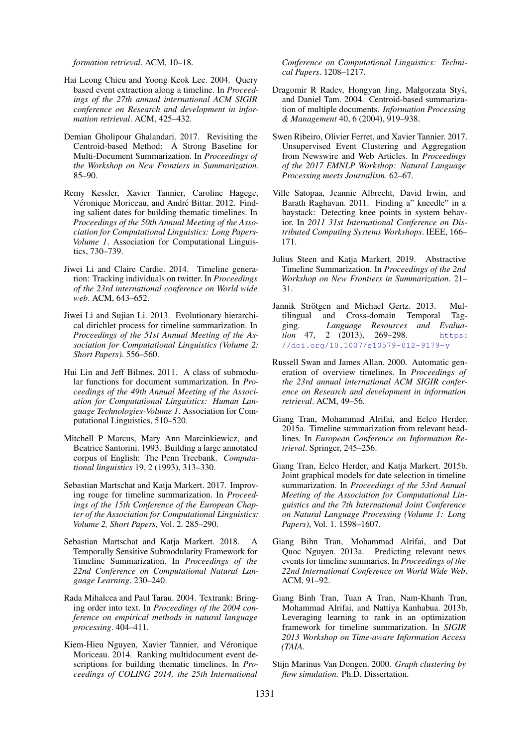*formation retrieval*. ACM, 10–18.

- <span id="page-9-6"></span>Hai Leong Chieu and Yoong Keok Lee. 2004. Query based event extraction along a timeline. In *Proceedings of the 27th annual international ACM SIGIR conference on Research and development in information retrieval*. ACM, 425–432.
- <span id="page-9-17"></span>Demian Gholipour Ghalandari. 2017. Revisiting the Centroid-based Method: A Strong Baseline for Multi-Document Summarization. In *Proceedings of the Workshop on New Frontiers in Summarization*. 85–90.
- <span id="page-9-7"></span>Remy Kessler, Xavier Tannier, Caroline Hagege, Véronique Moriceau, and André Bittar. 2012. Finding salient dates for building thematic timelines. In *Proceedings of the 50th Annual Meeting of the Association for Computational Linguistics: Long Papers-Volume 1*. Association for Computational Linguistics, 730–739.
- <span id="page-9-12"></span>Jiwei Li and Claire Cardie. 2014. Timeline generation: Tracking individuals on twitter. In *Proceedings of the 23rd international conference on World wide web*. ACM, 643–652.
- <span id="page-9-8"></span>Jiwei Li and Sujian Li. 2013. Evolutionary hierarchical dirichlet process for timeline summarization. In *Proceedings of the 51st Annual Meeting of the Association for Computational Linguistics (Volume 2: Short Papers)*. 556–560.
- <span id="page-9-18"></span>Hui Lin and Jeff Bilmes. 2011. A class of submodular functions for document summarization. In *Proceedings of the 49th Annual Meeting of the Association for Computational Linguistics: Human Language Technologies-Volume 1*. Association for Computational Linguistics, 510–520.
- <span id="page-9-21"></span>Mitchell P Marcus, Mary Ann Marcinkiewicz, and Beatrice Santorini. 1993. Building a large annotated corpus of English: The Penn Treebank. *Computational linguistics* 19, 2 (1993), 313–330.
- <span id="page-9-3"></span>Sebastian Martschat and Katja Markert. 2017. Improving rouge for timeline summarization. In *Proceedings of the 15th Conference of the European Chapter of the Association for Computational Linguistics: Volume 2, Short Papers*, Vol. 2. 285–290.
- <span id="page-9-4"></span>Sebastian Martschat and Katja Markert. 2018. A Temporally Sensitive Submodularity Framework for Timeline Summarization. In *Proceedings of the 22nd Conference on Computational Natural Language Learning*. 230–240.
- <span id="page-9-15"></span>Rada Mihalcea and Paul Tarau. 2004. Textrank: Bringing order into text. In *Proceedings of the 2004 conference on empirical methods in natural language processing*. 404–411.
- <span id="page-9-11"></span>Kiem-Hieu Nguyen, Xavier Tannier, and Véronique Moriceau. 2014. Ranking multidocument event descriptions for building thematic timelines. In *Proceedings of COLING 2014, the 25th International*

*Conference on Computational Linguistics: Technical Papers*. 1208–1217.

- <span id="page-9-16"></span>Dragomir R Radev, Hongyan Jing, Małgorzata Stys,´ and Daniel Tam. 2004. Centroid-based summarization of multiple documents. *Information Processing & Management* 40, 6 (2004), 919–938.
- <span id="page-9-20"></span>Swen Ribeiro, Olivier Ferret, and Xavier Tannier. 2017. Unsupervised Event Clustering and Aggregation from Newswire and Web Articles. In *Proceedings of the 2017 EMNLP Workshop: Natural Language Processing meets Journalism*. 62–67.
- <span id="page-9-14"></span>Ville Satopaa, Jeannie Albrecht, David Irwin, and Barath Raghavan. 2011. Finding a" kneedle" in a haystack: Detecting knee points in system behavior. In *2011 31st International Conference on Distributed Computing Systems Workshops*. IEEE, 166– 171.
- <span id="page-9-10"></span>Julius Steen and Katja Markert. 2019. Abstractive Timeline Summarization. In *Proceedings of the 2nd Workshop on New Frontiers in Summarization*. 21– 31.
- <span id="page-9-13"></span>Jannik Strötgen and Michael Gertz. 2013. Multilingual and Cross-domain Temporal Tagging. *Language Resources and Evaluation* 47, 2 (2013), 269–298. [https:](https://doi.org/10.1007/s10579-012-9179-y) [//doi.org/10.1007/s10579-012-9179-y](https://doi.org/10.1007/s10579-012-9179-y)
- <span id="page-9-5"></span>Russell Swan and James Allan. 2000. Automatic generation of overview timelines. In *Proceedings of the 23rd annual international ACM SIGIR conference on Research and development in information retrieval*. ACM, 49–56.
- <span id="page-9-9"></span>Giang Tran, Mohammad Alrifai, and Eelco Herder. 2015a. Timeline summarization from relevant headlines. In *European Conference on Information Retrieval*. Springer, 245–256.
- <span id="page-9-2"></span>Giang Tran, Eelco Herder, and Katja Markert. 2015b. Joint graphical models for date selection in timeline summarization. In *Proceedings of the 53rd Annual Meeting of the Association for Computational Linguistics and the 7th International Joint Conference on Natural Language Processing (Volume 1: Long Papers)*, Vol. 1. 1598–1607.
- <span id="page-9-0"></span>Giang Bihn Tran, Mohammad Alrifai, and Dat Quoc Nguyen. 2013a. Predicting relevant news events for timeline summaries. In *Proceedings of the 22nd International Conference on World Wide Web*. ACM, 91–92.
- <span id="page-9-1"></span>Giang Binh Tran, Tuan A Tran, Nam-Khanh Tran, Mohammad Alrifai, and Nattiya Kanhabua. 2013b. Leveraging learning to rank in an optimization framework for timeline summarization. In *SIGIR 2013 Workshop on Time-aware Information Access (TAIA*.
- <span id="page-9-19"></span>Stijn Marinus Van Dongen. 2000. *Graph clustering by flow simulation*. Ph.D. Dissertation.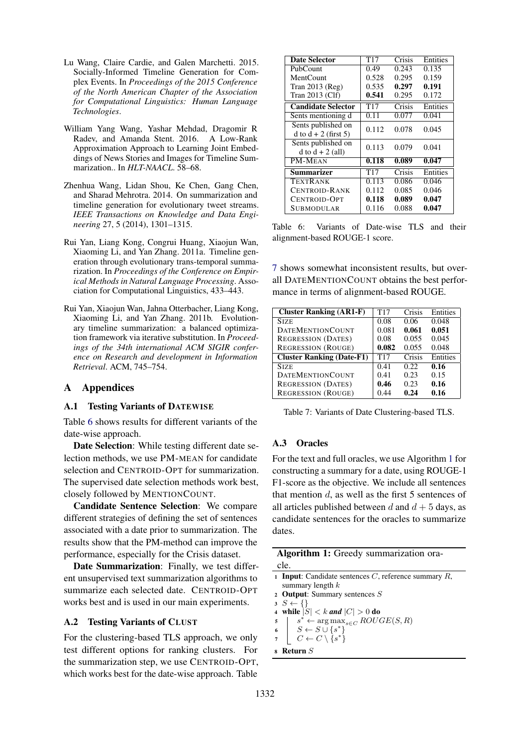- <span id="page-10-2"></span>Lu Wang, Claire Cardie, and Galen Marchetti. 2015. Socially-Informed Timeline Generation for Complex Events. In *Proceedings of the 2015 Conference of the North American Chapter of the Association for Computational Linguistics: Human Language Technologies*.
- <span id="page-10-3"></span>William Yang Wang, Yashar Mehdad, Dragomir R Radev, and Amanda Stent. 2016. A Low-Rank Approximation Approach to Learning Joint Embeddings of News Stories and Images for Timeline Summarization.. In *HLT-NAACL*. 58–68.
- <span id="page-10-4"></span>Zhenhua Wang, Lidan Shou, Ke Chen, Gang Chen, and Sharad Mehrotra. 2014. On summarization and timeline generation for evolutionary tweet streams. *IEEE Transactions on Knowledge and Data Engineering* 27, 5 (2014), 1301–1315.
- <span id="page-10-0"></span>Rui Yan, Liang Kong, Congrui Huang, Xiaojun Wan, Xiaoming Li, and Yan Zhang. 2011a. Timeline generation through evolutionary trans-temporal summarization. In *Proceedings of the Conference on Empirical Methods in Natural Language Processing*. Association for Computational Linguistics, 433–443.
- <span id="page-10-1"></span>Rui Yan, Xiaojun Wan, Jahna Otterbacher, Liang Kong, Xiaoming Li, and Yan Zhang. 2011b. Evolutionary timeline summarization: a balanced optimization framework via iterative substitution. In *Proceedings of the 34th international ACM SIGIR conference on Research and development in Information Retrieval*. ACM, 745–754.

# A Appendices

#### <span id="page-10-5"></span>A.1 Testing Variants of DATEWISE

Table [6](#page-10-8) shows results for different variants of the date-wise approach.

Date Selection: While testing different date selection methods, we use PM-MEAN for candidate selection and CENTROID-OPT for summarization. The supervised date selection methods work best, closely followed by MENTIONCOUNT.

Candidate Sentence Selection: We compare different strategies of defining the set of sentences associated with a date prior to summarization. The results show that the PM-method can improve the performance, especially for the Crisis dataset.

Date Summarization: Finally, we test different unsupervised text summarization algorithms to summarize each selected date. CENTROID-OPT works best and is used in our main experiments.

#### <span id="page-10-6"></span>A.2 Testing Variants of CLUST

For the clustering-based TLS approach, we only test different options for ranking clusters. For the summarization step, we use CENTROID-OPT, which works best for the date-wise approach. Table

<span id="page-10-8"></span>

| <b>Date Selector</b>      | T <sub>17</sub> | Crisis | Entities |
|---------------------------|-----------------|--------|----------|
| PubCount                  | 0.49            | 0.243  | 0.135    |
| MentCount                 | 0.528           | 0.295  | 0.159    |
| Tran 2013 (Reg)           | 0.535           | 0.297  | 0.191    |
| Tran 2013 (Clf)           | 0.541           | 0.295  | 0.172    |
| <b>Candidate Selector</b> | T <sub>17</sub> | Crisis | Entities |
| Sents mentioning d        | 0.11            | 0.077  | 0.041    |
| Sents published on        | 0.112           | 0.078  | 0.045    |
| d to $d + 2$ (first 5)    |                 |        |          |
| Sents published on        | 0.113           | 0.079  | 0.041    |
| d to $d + 2$ (all)        |                 |        |          |
| PM-MEAN                   | 0.118           | 0.089  | 0.047    |
| <b>Summarizer</b>         | T <sub>17</sub> | Crisis | Entities |
| <b>TEXTRANK</b>           | 0.113           | 0.086  | 0.046    |
| CENTROID-RANK             | 0.112           | 0.085  | 0.046    |
| CENTROID-OPT              | 0.118           | 0.089  | 0.047    |
| <b>SUBMODULAR</b>         | 0.116           | 0.088  | 0.047    |

Table 6: Variants of Date-wise TLS and their alignment-based ROUGE-1 score.

[7](#page-10-9) shows somewhat inconsistent results, but overall DATEMENTIONCOUNT obtains the best performance in terms of alignment-based ROUGE.

<span id="page-10-9"></span>

| <b>Cluster Ranking (AR1-F)</b>   | T <sub>17</sub> | Crisis | Entities |
|----------------------------------|-----------------|--------|----------|
| <b>SIZE</b>                      | 0.08            | 0.06   | 0.048    |
| <b>DATEMENTIONCOUNT</b>          | 0.081           | 0.061  | 0.051    |
| <b>REGRESSION (DATES)</b>        | 0.08            | 0.055  | 0.045    |
| <b>REGRESSION (ROUGE)</b>        | 0.082           | 0.055  | 0.048    |
| <b>Cluster Ranking (Date-F1)</b> | T <sub>17</sub> | Crisis | Entities |
| <b>SIZE</b>                      | 0.41            | 0.22   | 0.16     |
| <b>DATEMENTIONCOUNT</b>          | 0.41            | 0.23   | 0.15     |
| <b>REGRESSION (DATES)</b>        | 0.46            | 0.23   | 0.16     |
| <b>REGRESSION (ROUGE)</b>        | 0.44            | 0.24   | 0.16     |

Table 7: Variants of Date Clustering-based TLS.

#### <span id="page-10-7"></span>A.3 Oracles

For the text and full oracles, we use Algorithm [1](#page-10-10) for constructing a summary for a date, using ROUGE-1 F1-score as the objective. We include all sentences that mention  $d$ , as well as the first 5 sentences of all articles published between d and  $d + 5$  days, as candidate sentences for the oracles to summarize dates.

| <b>Algorithm 1:</b> Greedy summarization ora-                                                                                                                                                         |  |  |  |  |  |
|-------------------------------------------------------------------------------------------------------------------------------------------------------------------------------------------------------|--|--|--|--|--|
| cle.                                                                                                                                                                                                  |  |  |  |  |  |
| <b>1</b> Input: Candidate sentences C, reference summary $R$ ,                                                                                                                                        |  |  |  |  |  |
| summary length $k$                                                                                                                                                                                    |  |  |  |  |  |
| 2 Output: Summary sentences $S$                                                                                                                                                                       |  |  |  |  |  |
| $3 S \leftarrow \{\}$                                                                                                                                                                                 |  |  |  |  |  |
| 4 while $ S  < k$ and $ C  > 0$ do                                                                                                                                                                    |  |  |  |  |  |
|                                                                                                                                                                                                       |  |  |  |  |  |
|                                                                                                                                                                                                       |  |  |  |  |  |
| $\begin{array}{c c} \texttt{s} & \texttt{s}^* \leftarrow \argmax_{s \in C} ROUGE(S, R) \ \texttt{s} & S \leftarrow S \cup \{s^*\} \ \texttt{\small 7} & C \leftarrow C \setminus \{s^*\} \end{array}$ |  |  |  |  |  |

<span id="page-10-10"></span><sup>8</sup> Return S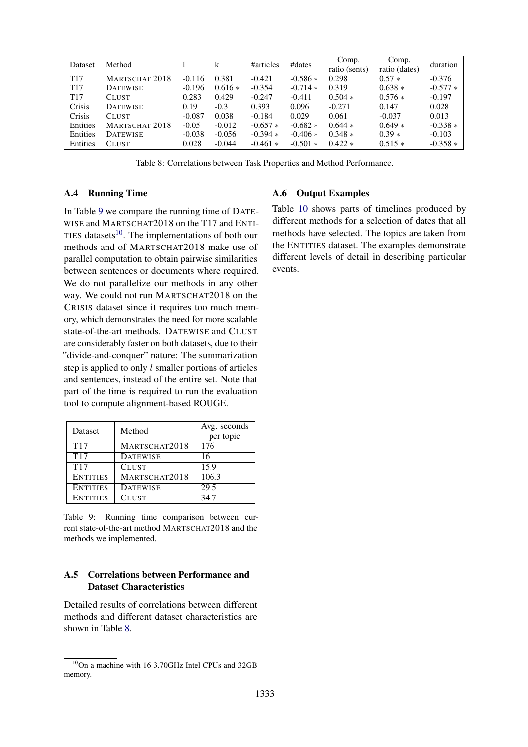<span id="page-11-4"></span>

| Dataset         | Method          |          | k        | #articles | #dates    | Comp.<br>ratio (sents) | Comp.<br>ratio (dates) | duration  |
|-----------------|-----------------|----------|----------|-----------|-----------|------------------------|------------------------|-----------|
| T <sub>17</sub> | MARTSCHAT 2018  | $-0.116$ | 0.381    | $-0.421$  | $-0.586*$ | 0.298                  | $0.57*$                | $-0.376$  |
| T <sub>17</sub> | <b>DATEWISE</b> | $-0.196$ | $0.616*$ | $-0.354$  | $-0.714*$ | 0.319                  | $0.638*$               | $-0.577*$ |
| T <sub>17</sub> | <b>CLUST</b>    | 0.283    | 0.429    | $-0.247$  | $-0.411$  | $0.504*$               | $0.576*$               | $-0.197$  |
| Crisis          | <b>DATEWISE</b> | 0.19     | $-0.3$   | 0.393     | 0.096     | $-0.271$               | 0.147                  | 0.028     |
| Crisis          | <b>CLUST</b>    | $-0.087$ | 0.038    | $-0.184$  | 0.029     | 0.061                  | $-0.037$               | 0.013     |
| Entities        | MARTSCHAT 2018  | $-0.05$  | $-0.012$ | $-0.657*$ | $-0.682*$ | $0.644*$               | $0.649*$               | $-0.338*$ |
| Entities        | <b>DATEWISE</b> | $-0.038$ | $-0.056$ | $-0.394*$ | $-0.406*$ | $0.348*$               | $0.39*$                | $-0.103$  |
| Entities        | <b>CLUST</b>    | 0.028    | $-0.044$ | $-0.461*$ | $-0.501*$ | $0.422*$               | $0.515*$               | $-0.358*$ |

Table 8: Correlations between Task Properties and Method Performance.

### <span id="page-11-2"></span>A.4 Running Time

In Table [9](#page-11-3) we compare the running time of DATE-WISE and MARTSCHAT2018 on the T17 and ENTI-TIES datasets $10$ . The implementations of both our methods and of MARTSCHAT2018 make use of parallel computation to obtain pairwise similarities between sentences or documents where required. We do not parallelize our methods in any other way. We could not run MARTSCHAT2018 on the CRISIS dataset since it requires too much memory, which demonstrates the need for more scalable state-of-the-art methods. DATEWISE and CLUST are considerably faster on both datasets, due to their "divide-and-conquer" nature: The summarization step is applied to only l smaller portions of articles and sentences, instead of the entire set. Note that part of the time is required to run the evaluation tool to compute alignment-based ROUGE.

<span id="page-11-3"></span>

| Dataset         | Method          | Avg. seconds<br>per topic |
|-----------------|-----------------|---------------------------|
| T <sub>17</sub> | MARTSCHAT2018   | 176                       |
| T <sub>17</sub> | <b>DATEWISE</b> | 16                        |
| T <sub>17</sub> | <b>CLUST</b>    | 15.9                      |
| <b>ENTITIES</b> | MARTSCHAT2018   | 106.3                     |
| <b>ENTITIES</b> | <b>DATEWISE</b> | 29.5                      |
| <b>ENTITIES</b> | <b>CLUST</b>    | 34 7                      |

Table 9: Running time comparison between current state-of-the-art method MARTSCHAT2018 and the methods we implemented.

# <span id="page-11-1"></span>A.5 Correlations between Performance and Dataset Characteristics

Detailed results of correlations between different methods and different dataset characteristics are shown in Table [8.](#page-11-4)

#### A.6 Output Examples

Table [10](#page-12-0) shows parts of timelines produced by different methods for a selection of dates that all methods have selected. The topics are taken from the ENTITIES dataset. The examples demonstrate different levels of detail in describing particular events.

<span id="page-11-0"></span><sup>&</sup>lt;sup>10</sup>On a machine with 16 3.70GHz Intel CPUs and 32GB memory.